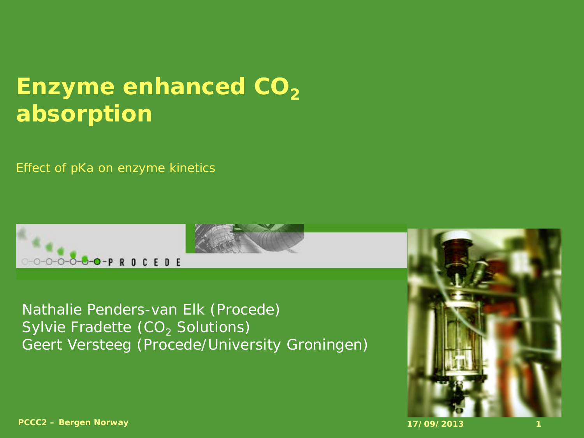#### **Enzyme enhanced CO<sub>2</sub> absorption**

*Effect of pKa on enzyme kinetics*



Nathalie Penders-van Elk (Procede) Sylvie Fradette  $(CO<sub>2</sub>$  Solutions) Geert Versteeg (Procede/University Groningen)

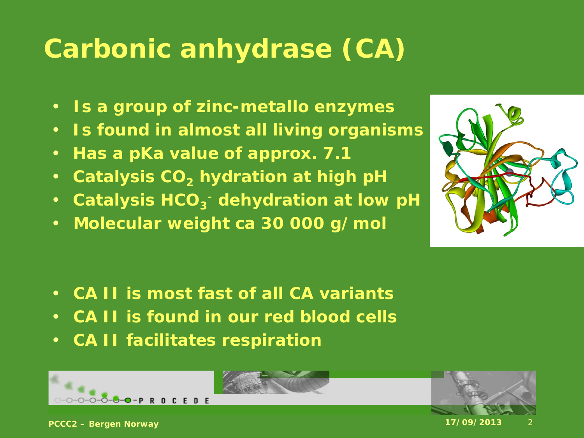# **Carbonic anhydrase (CA)**

- **Is a group of zinc-metallo enzymes**
- **Is found in almost all living organisms**
- **Has a pKa value of approx. 7.1**
- Catalysis CO<sub>2</sub> hydration at high pH
- Catalysis HCO<sub>3</sub> dehydration at low pH
- **Molecular weight ca 30 000 g/mol**



- **CA II is most fast of all CA variants**
- **CA II is found in our red blood cells**
- **CA II facilitates respiration**



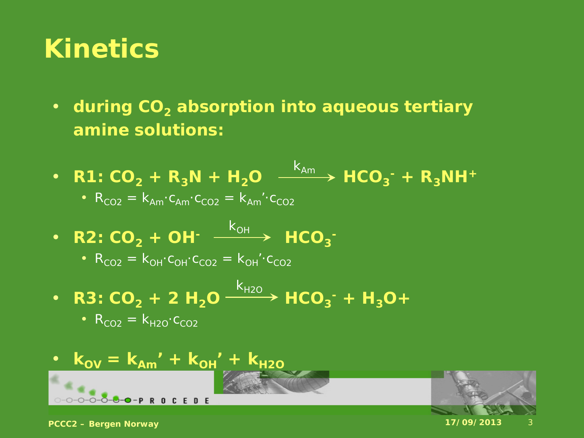#### **Kinetics**

- during CO<sub>2</sub> absorption into aqueous tertiary **amine solutions:**
- **R1:**  $CO_2 + R_3N + H_2O$   $\xrightarrow{\text{``Am}}$   $HCO_3^- + R_3NH^+$ •  $R_{CO2} = K_{Am} \cdot C_{Am} \cdot C_{CO2} = K_{Am} \cdot C_{CO2}$  $k_{Am}$
- **R2:**  $CO_2$  + OH<sup>-</sup>  $\xrightarrow{k_{OH}}$  HCO<sub>3</sub><sup>-</sup>

• 
$$
R_{CO2} = k_{OH} \cdot c_{OH} \cdot c_{CO2} = k_{OH} \cdot c_{CO2}
$$

• **R3:**  $CO_2$  + 2 H<sub>2</sub>O  $\xrightarrow{P2O}$  HCO<sub>3</sub><sup>-</sup> + H<sub>3</sub>O +  $k_{H2O}$ 

$$
\bullet \ \mathsf{R}_{\mathsf{CO2}} = \mathsf{k}_{\mathsf{H2O}} \cdot \mathsf{c}_{\mathsf{CO2}}
$$

$$
k_{\text{OV}} = k_{\text{Am}}' + k_{\text{OH}}' + k_{\text{H2O}}
$$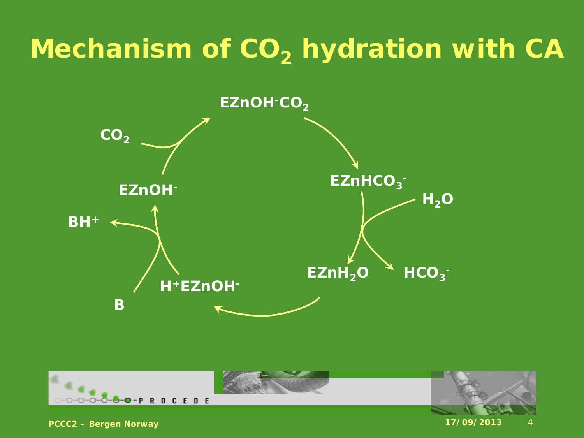## **Mechanism of CO<sub>2</sub> hydration with CA**



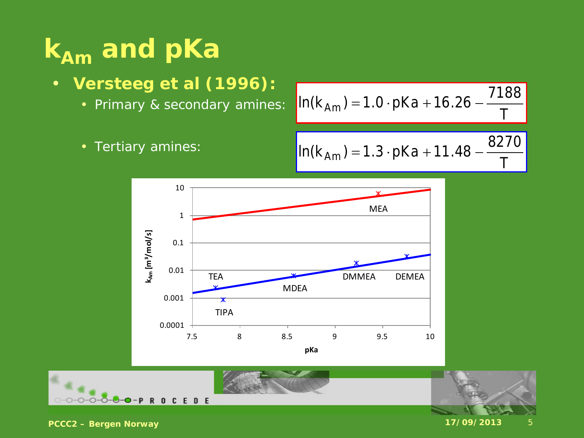# $\overline{k_{Am}}$  and pKa

- **Versteeg et al (1996):**
	- Primary & secondary amines:

$$
In(k_{Am}) = 1.0 \cdot pKa + 16.26 - \frac{7188}{T}
$$

• Tertiary amines:

$$
In(k_{Am}) = 1.3 \cdot pKa + 11.48 - \frac{8270}{T}
$$



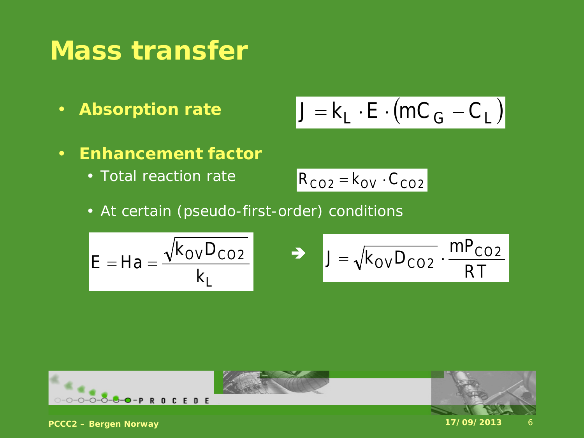#### **Mass transfer**

• **Absorption rate**

$$
J = k_L \cdot E \cdot (mC_G - C_L)
$$

- **Enhancement factor**
	- Total reaction rate

$$
R_{CO2} = k_{OV} \cdot C_{CO2}
$$

• At certain (pseudo-first-order) conditions

$$
E = Ha = \frac{\sqrt{k_{\text{OV}}D_{\text{CO2}}}}{k_{\text{L}}} \qquad \Rightarrow \qquad J = \sqrt{k_{\text{OV}}D_{\text{CO2}} \cdot \frac{m_{\text{CO2}}}{RT}}
$$

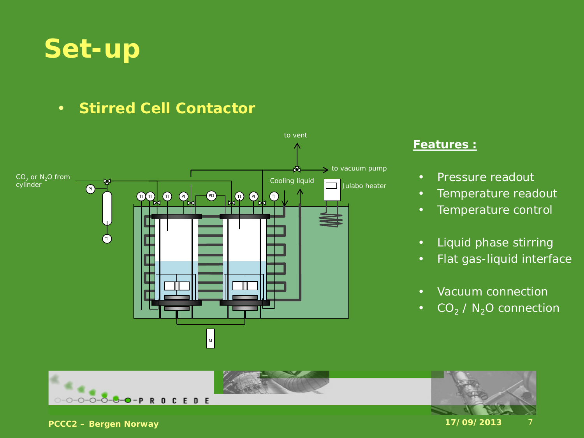

#### • **Stirred Cell Contactor**



#### **Features :**

- Pressure readout
- Temperature readout
- Temperature control
- Liquid phase stirring
- Flat gas-liquid interface
- Vacuum connection
- $CO_2 / N_2$ O connection

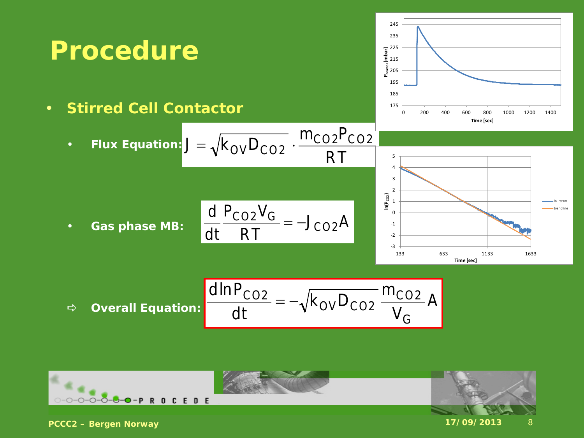

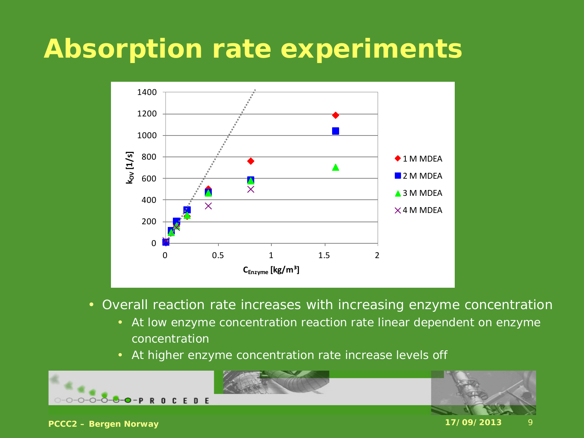

- Overall reaction rate increases with increasing enzyme concentration
	- At low enzyme concentration reaction rate linear dependent on enzyme concentration
	- At higher enzyme concentration rate increase levels off



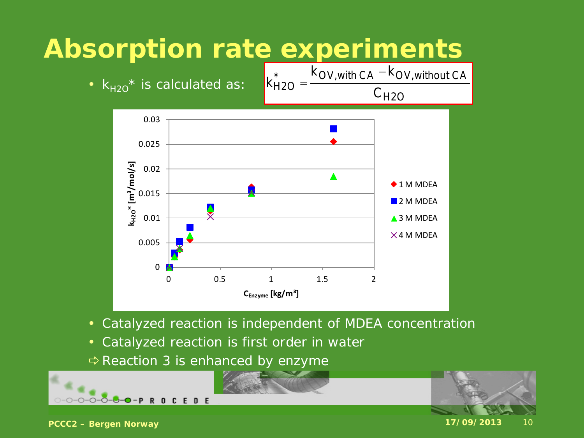

- Catalyzed reaction is independent of MDEA concentration
- Catalyzed reaction is first order in water
- $\Rightarrow$  Reaction 3 is enhanced by enzyme

![](_page_9_Picture_5.jpeg)

![](_page_9_Picture_6.jpeg)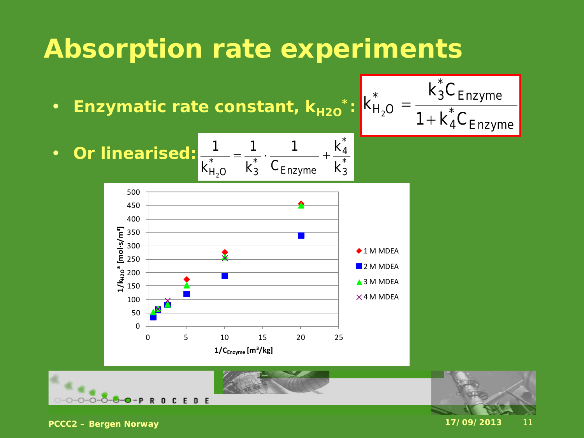- Enzymatic rate constant,  $k_{H2O}$ <sup>\*</sup>:
- $H_2O = \overline{1 + k_A^* C_{\text{Enzyme}}}$ k $_{3}^{\ast} \mathsf{C}_{\mathsf{Enzyme}}$  $k_{H_2O}^* = \frac{R_3}{1 + R_2}$

• **Or linearised:** 
$$
\frac{1}{k_{H_2O}^*} = \frac{1}{k_3^*} \cdot \frac{1}{C_{Enzyme}} + \frac{k_4^*}{k_3^*}
$$

![](_page_10_Figure_4.jpeg)

![](_page_10_Picture_5.jpeg)

![](_page_10_Picture_6.jpeg)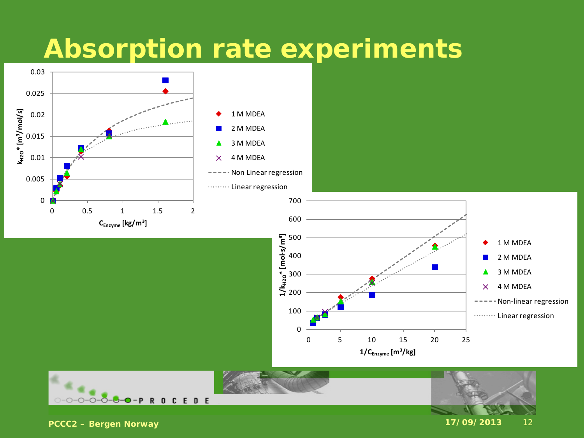![](_page_11_Figure_1.jpeg)

0-0-0-0-0-0-0-PROCEDE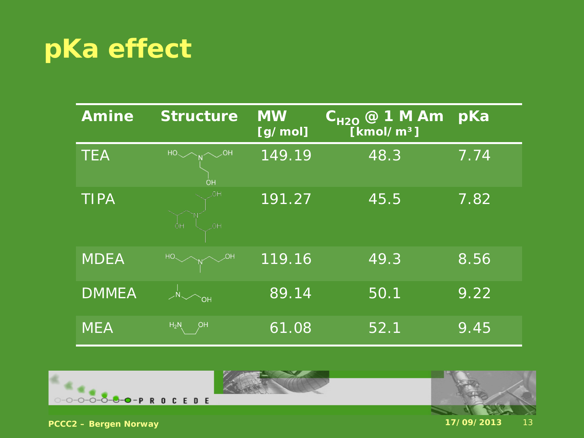| <b>Amine</b> | <b>Structure</b> | <b>MW</b><br>[g/mol] | $\rm C_{H2O}$ @ 1 M Am $^{\prime}$<br>[kmol/m <sup>3</sup> ] | pKa  |
|--------------|------------------|----------------------|--------------------------------------------------------------|------|
| <b>TEA</b>   | <b>OH</b>        | 149.19               | 48.3                                                         | 7.74 |
| <b>TIPA</b>  | <b>OH</b><br>ÓН  | 191.27               | 45.5                                                         | 7.82 |
| <b>MDEA</b>  |                  | 119.16               | 49.3                                                         | 8.56 |
| <b>DMMEA</b> | OН               | 89.14                | 50.1                                                         | 9.22 |
| <b>MEA</b>   | $H_2N$<br>ρн     | 61.08                | 52.1                                                         | 9.45 |

![](_page_12_Picture_2.jpeg)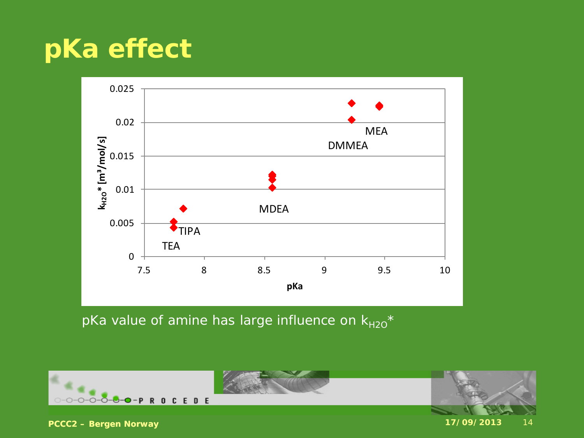![](_page_13_Figure_1.jpeg)

pKa value of amine has large influence on  $k_{H2O}^*$ 

![](_page_13_Picture_3.jpeg)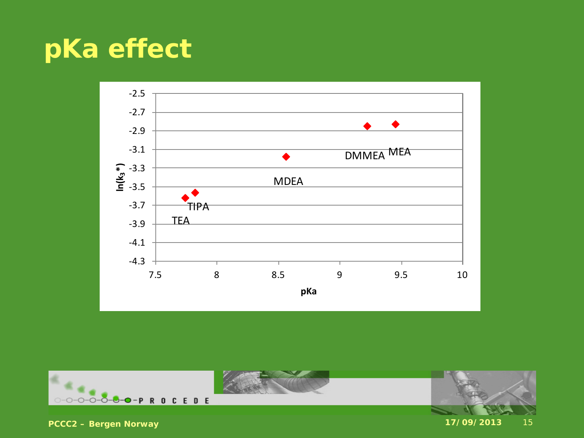![](_page_14_Figure_1.jpeg)

![](_page_14_Picture_2.jpeg)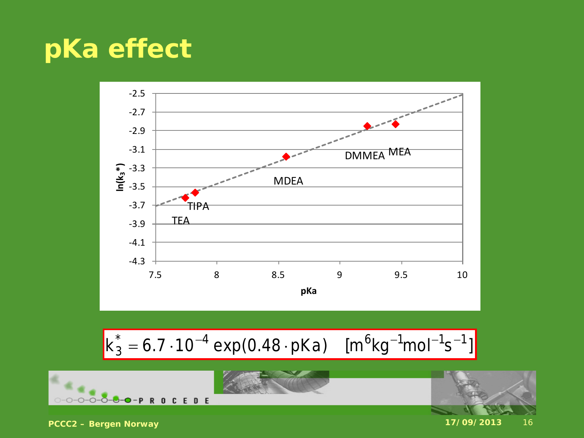![](_page_15_Figure_1.jpeg)

$$
k_3^* = 6.7 \cdot 10^{-4} \exp(0.48 \cdot pKa) \quad [m^6 kg^{-1} mol^{-1} s^{-1}]
$$

![](_page_15_Picture_3.jpeg)

![](_page_15_Picture_4.jpeg)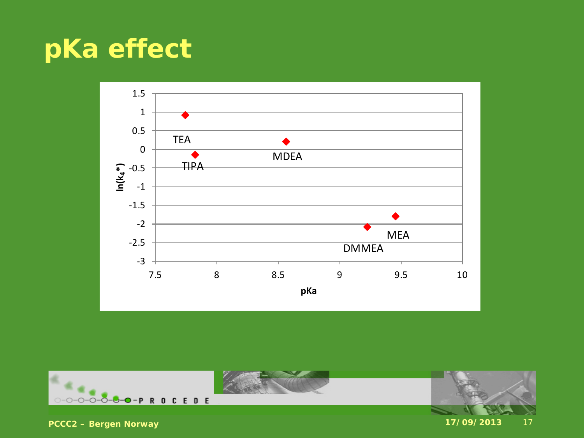![](_page_16_Figure_1.jpeg)

![](_page_16_Picture_2.jpeg)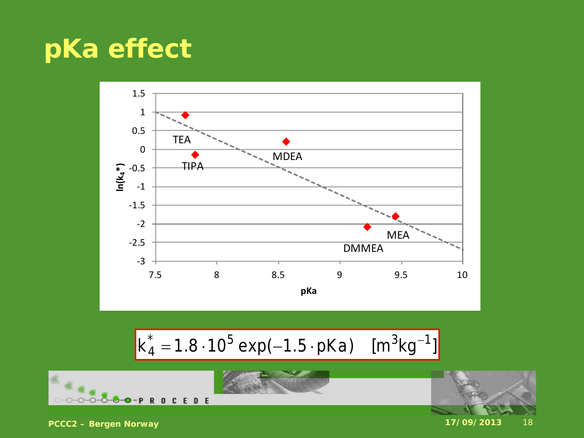![](_page_17_Figure_1.jpeg)

$$
k_4^* = 1.8 \cdot 10^5 \exp(-1.5 \cdot pKa) \quad [m^3kg^{-1}]
$$

![](_page_17_Picture_3.jpeg)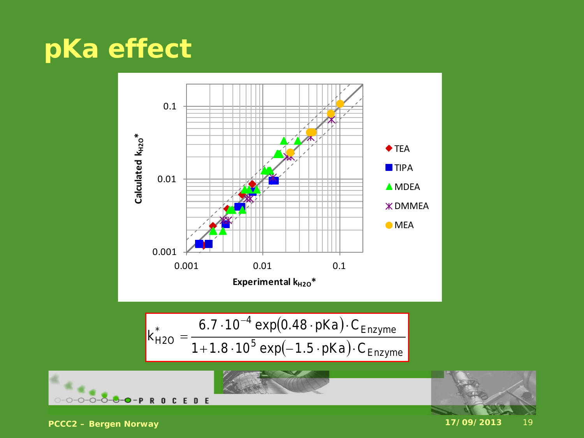![](_page_18_Figure_1.jpeg)

$$
k_{H2O}^{*} = \frac{6.7 \cdot 10^{-4} \exp(0.48 \cdot pKa) \cdot C_{Enzyme}}{1 + 1.8 \cdot 10^{5} \exp(-1.5 \cdot pKa) \cdot C_{Enzyme}}
$$

![](_page_18_Picture_3.jpeg)

![](_page_18_Picture_4.jpeg)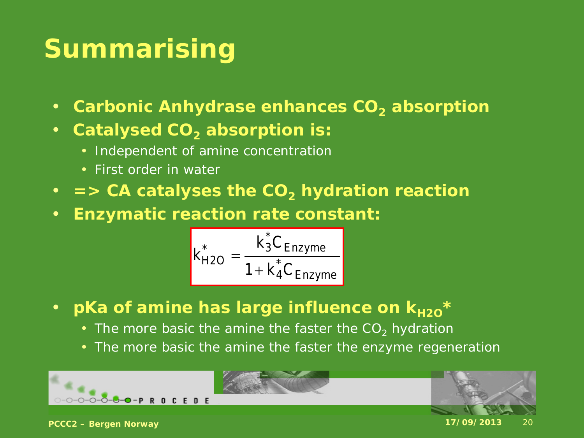# **Summarising**

- Carbonic Anhydrase enhances CO<sub>2</sub> absorption
- **Catalysed CO<sub>2</sub> absorption is:** 
	- Independent of amine concentration
	- First order in water
- $\Rightarrow$  CA catalyses the CO<sub>2</sub> hydration reaction
- **Enzymatic reaction rate constant:**

$$
k_{H2O}^* = \frac{k_3^* C_{Enzyme}}{1 + k_4^* C_{Enzyme}}
$$

- pKa of amine has large influence on  $k_{H2O}$ <sup>\*</sup>
	- The more basic the amine the faster the  $CO<sub>2</sub>$  hydration
	- The more basic the amine the faster the enzyme regeneration

![](_page_19_Picture_11.jpeg)

![](_page_19_Picture_12.jpeg)